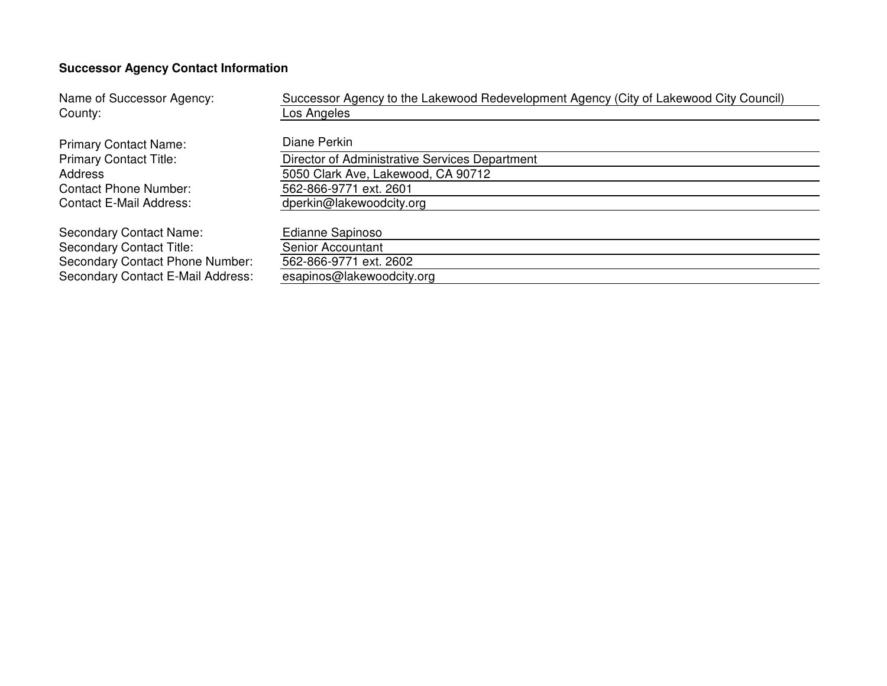# **Successor Agency Contact Information**

| Name of Successor Agency:                              | Successor Agency to the Lakewood Redevelopment Agency (City of Lakewood City Council) |  |  |  |  |  |  |  |
|--------------------------------------------------------|---------------------------------------------------------------------------------------|--|--|--|--|--|--|--|
| County:                                                | Los Angeles                                                                           |  |  |  |  |  |  |  |
| <b>Primary Contact Name:</b>                           | Diane Perkin                                                                          |  |  |  |  |  |  |  |
| <b>Primary Contact Title:</b>                          | Director of Administrative Services Department                                        |  |  |  |  |  |  |  |
| 5050 Clark Ave, Lakewood, CA 90712<br>Address          |                                                                                       |  |  |  |  |  |  |  |
| 562-866-9771 ext. 2601<br><b>Contact Phone Number:</b> |                                                                                       |  |  |  |  |  |  |  |
| <b>Contact E-Mail Address:</b>                         | dperkin@lakewoodcity.org                                                              |  |  |  |  |  |  |  |
| <b>Secondary Contact Name:</b>                         | Edianne Sapinoso                                                                      |  |  |  |  |  |  |  |
| <b>Secondary Contact Title:</b>                        | Senior Accountant                                                                     |  |  |  |  |  |  |  |
| Secondary Contact Phone Number:                        | 562-866-9771 ext. 2602                                                                |  |  |  |  |  |  |  |
| Secondary Contact E-Mail Address:                      | esapinos@lakewoodcity.org                                                             |  |  |  |  |  |  |  |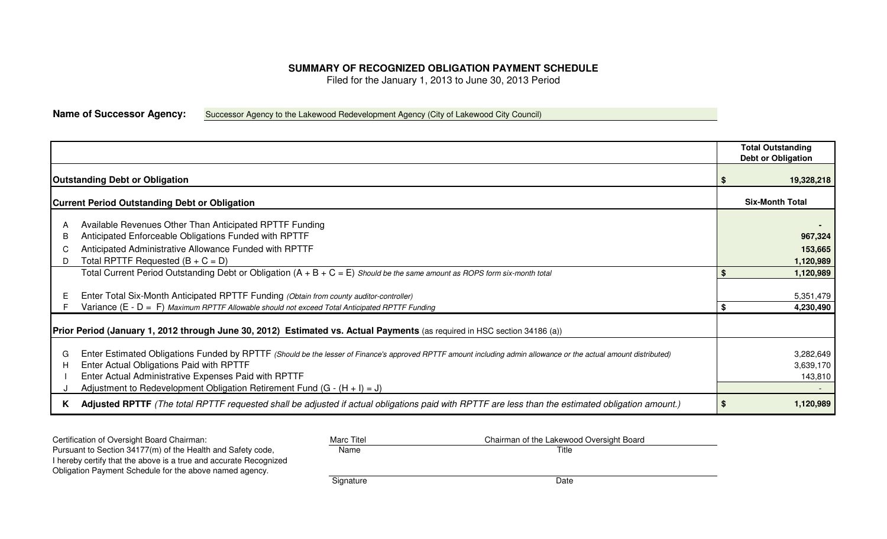## **SUMMARY OF RECOGNIZED OBLIGATION PAYMENT SCHEDULE**

Filed for the January 1, 2013 to June 30, 2013 Period

**Name of Successor Agency:**Successor Agency to the Lakewood Redevelopment Agency (City of Lakewood City Council)

| <b>Outstanding Debt or Obligation</b>                                                                                                                                                                                                                                                                                                                   |    | 19,328,218                        |  |  |  |  |
|---------------------------------------------------------------------------------------------------------------------------------------------------------------------------------------------------------------------------------------------------------------------------------------------------------------------------------------------------------|----|-----------------------------------|--|--|--|--|
| <b>Current Period Outstanding Debt or Obligation</b>                                                                                                                                                                                                                                                                                                    |    | <b>Six-Month Total</b>            |  |  |  |  |
| Available Revenues Other Than Anticipated RPTTF Funding<br>Anticipated Enforceable Obligations Funded with RPTTF<br>B                                                                                                                                                                                                                                   |    | 967,324                           |  |  |  |  |
| Anticipated Administrative Allowance Funded with RPTTF<br>Total RPTTF Requested $(B + C = D)$<br>D                                                                                                                                                                                                                                                      |    | 153,665<br>1,120,989              |  |  |  |  |
| Total Current Period Outstanding Debt or Obligation $(A + B + C = E)$ Should be the same amount as ROPS form six-month total                                                                                                                                                                                                                            |    | 1,120,989                         |  |  |  |  |
| Enter Total Six-Month Anticipated RPTTF Funding (Obtain from county auditor-controller)                                                                                                                                                                                                                                                                 |    | 5,351,479                         |  |  |  |  |
| Variance (E - D = F) Maximum RPTTF Allowable should not exceed Total Anticipated RPTTF Funding                                                                                                                                                                                                                                                          | \$ | 4,230,490                         |  |  |  |  |
| Prior Period (January 1, 2012 through June 30, 2012) Estimated vs. Actual Payments (as required in HSC section 34186 (a))                                                                                                                                                                                                                               |    |                                   |  |  |  |  |
| Enter Estimated Obligations Funded by RPTTF (Should be the lesser of Finance's approved RPTTF amount including admin allowance or the actual amount distributed)<br>G<br>Enter Actual Obligations Paid with RPTTF<br>Enter Actual Administrative Expenses Paid with RPTTF<br>Adjustment to Redevelopment Obligation Retirement Fund $(G - (H + I) = J)$ |    | 3,282,649<br>3,639,170<br>143,810 |  |  |  |  |
| Adjusted RPTTF (The total RPTTF requested shall be adjusted if actual obligations paid with RPTTF are less than the estimated obligation amount.)<br>ĸ                                                                                                                                                                                                  |    | 1,120,989                         |  |  |  |  |

| Certification of Oversight Board Chairman:                        | <b>Marc Titel</b> | Chairman of the Lakewood Oversight Board |
|-------------------------------------------------------------------|-------------------|------------------------------------------|
| Pursuant to Section 34177(m) of the Health and Safety code,       | Name              | Title                                    |
| I hereby certify that the above is a true and accurate Recognized |                   |                                          |
| Obligation Payment Schedule for the above named agency.           |                   |                                          |
|                                                                   | Signature         | Date                                     |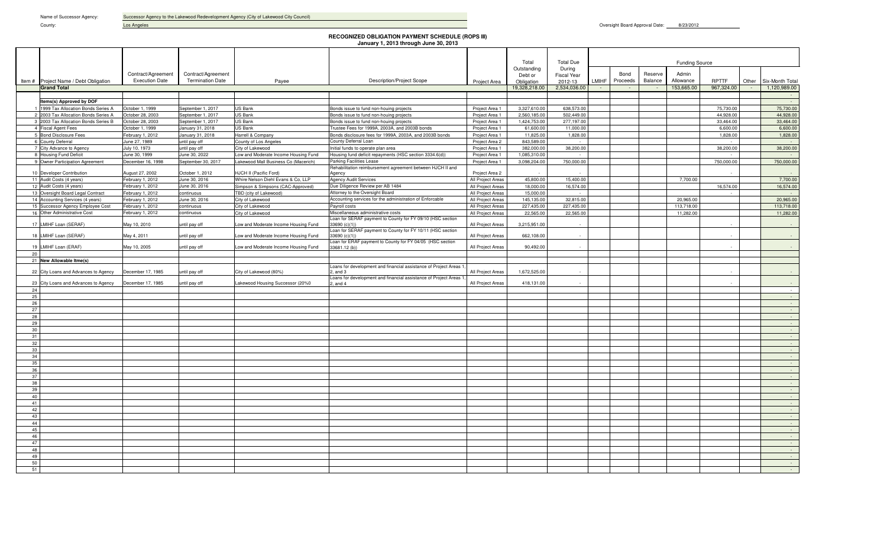Name of Successor Agency: Successor Agency to the Lakewood Redevelopment Agency (City of Lakewood City Council)

County: County: County: County: County: County: County: County: County: County: County: County: County: County: County: County: County: County: County: County: County: County: County: County: County: County: County: County

Oversight Board Approval Date: 8/23/2012

|           |                                                             |                                     |                                       |                                                                              | <b>RECOGNIZED OBLIGATION PAYMENT SCHEDULE (ROPS III)</b><br>January 1, 2013 through June 30, 2013 |                                        |                              |                         |       |          |         |                         |                            |                          |                                 |
|-----------|-------------------------------------------------------------|-------------------------------------|---------------------------------------|------------------------------------------------------------------------------|---------------------------------------------------------------------------------------------------|----------------------------------------|------------------------------|-------------------------|-------|----------|---------|-------------------------|----------------------------|--------------------------|---------------------------------|
|           |                                                             |                                     |                                       |                                                                              |                                                                                                   |                                        |                              |                         |       |          |         |                         |                            |                          |                                 |
|           |                                                             |                                     |                                       |                                                                              |                                                                                                   |                                        | Total                        | <b>Total Due</b>        |       |          |         | <b>Funding Source</b>   |                            |                          |                                 |
|           |                                                             |                                     |                                       |                                                                              |                                                                                                   |                                        | Outstanding                  | During                  |       |          |         |                         |                            |                          |                                 |
|           |                                                             | Contract/Agreement                  | Contract/Agreement                    |                                                                              |                                                                                                   |                                        | Debt or                      | <b>Fiscal Year</b>      |       | Bond     | Reserve | Admin                   |                            |                          |                                 |
|           | Item # Project Name / Debt Obligation<br><b>Grand Total</b> | <b>Execution Date</b>               | <b>Termination Date</b>               | Payee                                                                        | <b>Description/Project Scope</b>                                                                  | Project Area                           | Obligation<br>19,328,218.00  | 2012-13<br>2,534,036.00 | LMIHF | Proceeds | Balance | Allowance<br>153,665.00 | <b>RPTTF</b><br>967,324.00 | Other<br>$\sim 10^{-10}$ | Six-Month Total<br>1,120,989.00 |
|           |                                                             |                                     |                                       |                                                                              |                                                                                                   |                                        |                              |                         |       |          |         |                         |                            |                          |                                 |
|           | Items(s) Approved by DOF                                    |                                     |                                       |                                                                              |                                                                                                   |                                        |                              |                         |       |          |         |                         |                            |                          |                                 |
|           | 1999 Tax Allocation Bonds Series A                          | October 1, 1999                     | September 1, 2017                     | <b>US Bank</b>                                                               | Bonds issue to fund non-houing projects                                                           | Project Area 1                         | 3,327,610.00                 | 638,573.00              |       |          |         |                         | 75,730.00                  |                          | 75,730.00                       |
|           | 2 2003 Tax Allocation Bonds Series A                        | October 28, 2003                    | September 1, 2017                     | <b>US Bank</b>                                                               | Bonds issue to fund non-houing projects                                                           | Project Area 1                         | 2,560,185.00                 | 502,449.00              |       |          |         |                         | 44,928.00                  |                          | 44,928.00                       |
|           | 3 2003 Tax Allocation Bonds Series B<br>4 Fiscal Agent Fees | October 28, 2003<br>October 1, 1999 | September 1, 2017<br>January 31, 2018 | <b>US Bank</b><br>US Bank                                                    | Bonds issue to fund non-houing projects<br>Trustee Fees for 1999A, 2003A, and 2003B bonds         | Project Area 1<br>Project Area 1       | 1,424,753.00<br>61,600.00    | 277,197.00<br>11,000.00 |       |          |         |                         | 33,464.00<br>6,600.00      |                          | 33,464.00<br>6,600.00           |
|           | 5 Bond Disclosure Fees                                      | February 1, 2012                    | January 31, 2018                      | Harrell & Company                                                            | Bonds disclosure fees for 1999A, 2003A, and 2003B bonds                                           | Project Area 1                         | 11,825.00                    | 1.828.00                |       |          |         |                         | 1,828.00                   |                          | 1,828.00                        |
|           | 6 County Deferral                                           | June 27, 1989                       | until pay off                         | County of Los Angeles                                                        | County Deferral Loan                                                                              | Project Area 2                         | 843.589.00                   |                         |       |          |         |                         |                            |                          |                                 |
|           | 7 City Advance to Agency                                    | July 10, 1973                       | until pay off                         | City of Lakewood                                                             | Initial funds to operate plan area                                                                | Project Area 1                         | 382,000.00                   | 38,200.00               |       |          |         |                         | 38,200.00                  |                          | 38,200.00                       |
|           | 8 Housing Fund Deficit<br>9 Owner Participation Agreement   | June 30, 1999<br>December 16, 1998  | June 30, 2022<br>September 30, 2017   | Low and Moderate Income Housing Fund<br>Lakewood Mall Business Co (Macerich) | Housing fund deficit repayments (HSC section 3334.6(d))<br>Parking Facilities Lease               | Project Area 1<br>Project Area 1       | 1,085,310.00<br>3,098,204.00 | 750,000.00              |       |          |         |                         | 750,000.00                 |                          | 750,000.00                      |
|           |                                                             |                                     |                                       |                                                                              | Rehabilitation reimbursement agreement between HJCH II and                                        |                                        |                              |                         |       |          |         |                         |                            |                          |                                 |
|           | 10 Developer Contribution<br>11 Audit Costs (4 years)       | August 27, 2002<br>February 1, 2012 | October 1, 2012<br>June 30, 2016      | HJCH II (Pacific Ford)                                                       | Agency<br>Agency Audit Services                                                                   | Project Area 2                         | 45,800.00                    | 15,400.00               |       |          |         | 7,700.00                |                            |                          | 7,700.00                        |
|           | 12 Audit Costs (4 years)                                    | February 1, 2012                    | June 30, 2016                         | Whire Nelson Diehl Evans & Co, LLP<br>Simpson & Simpsons (CAC-Approved)      | Due Diligence Review per AB 1484                                                                  | All Project Areas<br>All Project Areas | 18,000.00                    | 16,574.00               |       |          |         |                         | 16,574.00                  |                          | 16,574.00                       |
|           | 13 Oversight Board Legal Contract                           | February 1, 2012                    | continuous                            | TBD (city of Lakewood)                                                       | Attorney to the Oversight Board                                                                   | All Project Areas                      | 15,000.00                    |                         |       |          |         |                         |                            |                          |                                 |
|           | 14 Accounting Services (4 years)                            | February 1, 2012                    | June 30, 2016                         | City of Lakewood                                                             | Accounting services for the administration of Enforcable                                          | All Project Areas                      | 145,135.00                   | 32,815.00               |       |          |         | 20,965.00               |                            |                          | 20,965.00                       |
|           | 15 Successor Agency Employee Cost                           | February 1, 2012                    | continuous                            | City of Lakewood                                                             | Payroll costs                                                                                     | All Project Areas                      | 227,435.00                   | 227,435.00              |       |          |         | 113,718.00              |                            |                          | 113,718.00                      |
|           | 16 Other Administrative Cost                                | February 1, 2012                    | continuous                            | City of Lakewood                                                             | Miscellaneous administrative costs<br>-oan for SERAF payment to County for FY 09/10 (HSC section  | All Project Areas                      | 22,565.00                    | 22,565.00               |       |          |         | 11,282.00               |                            |                          | 11,282.00                       |
|           | 17 LMIHF Loan (SERAF)                                       | May 10, 2010                        | until pay off                         | Low and Moderate Income Housing Fund                                         | 33690 (c)(1))                                                                                     | All Project Areas                      | 3,215,951.00                 |                         |       |          |         |                         |                            |                          |                                 |
|           | 18 LMIHF Loan (SERAF)                                       | May 4, 2011                         | until pay off                         | Low and Moderate Income Housing Fund                                         | Loan for SERAF payment to County for FY 10/11 (HSC section<br>33690 (c)(1))                       | All Project Areas                      | 662,108.00                   |                         |       |          |         |                         |                            |                          |                                 |
|           |                                                             |                                     |                                       |                                                                              | Loan for ERAF payment to County for FY 04/05 (HSC section                                         |                                        |                              |                         |       |          |         |                         |                            |                          |                                 |
| 19<br>20  | LMIHF Loan (ERAF)                                           | May 10, 2005                        | intil pay off                         | Low and Moderate Income Housing Fund                                         | 33681.12 (b)                                                                                      | All Project Areas                      | 90.492.00                    |                         |       |          |         |                         |                            |                          |                                 |
|           | 21 New Allowable Itme(s)                                    |                                     |                                       |                                                                              |                                                                                                   |                                        |                              |                         |       |          |         |                         |                            |                          |                                 |
|           |                                                             |                                     |                                       |                                                                              | Loans for development and financial assistance of Project Areas 1                                 |                                        |                              |                         |       |          |         |                         |                            |                          |                                 |
|           | 22 City Loans and Advances to Agency                        | December 17, 1985                   | intil pay off                         | City of Lakewood (80%)                                                       | $:$ and $3$<br>Loans for development and financial assistance of Project Areas                    | All Project Areas                      | 1,672,525.00                 |                         |       |          |         |                         |                            |                          |                                 |
| 23        | City Loans and Advances to Agency                           | December 17, 1985                   | intil pay off                         | Lakewood Housing Successor (20%0                                             | $:$ and 4                                                                                         | All Project Areas                      | 418,131.00                   |                         |       |          |         |                         |                            |                          |                                 |
| 24        |                                                             |                                     |                                       |                                                                              |                                                                                                   |                                        |                              |                         |       |          |         |                         |                            |                          | $\sim$<br>$\sim$                |
| 25<br>26  |                                                             |                                     |                                       |                                                                              |                                                                                                   |                                        |                              |                         |       |          |         |                         |                            |                          | $\sim$ $\sim$                   |
| 27        |                                                             |                                     |                                       |                                                                              |                                                                                                   |                                        |                              |                         |       |          |         |                         |                            |                          |                                 |
| 28        |                                                             |                                     |                                       |                                                                              |                                                                                                   |                                        |                              |                         |       |          |         |                         |                            |                          | $\sim$                          |
| 29<br>30  |                                                             |                                     |                                       |                                                                              |                                                                                                   |                                        |                              |                         |       |          |         |                         |                            |                          | $\sim$                          |
| 31        |                                                             |                                     |                                       |                                                                              |                                                                                                   |                                        |                              |                         |       |          |         |                         |                            |                          |                                 |
| 32        |                                                             |                                     |                                       |                                                                              |                                                                                                   |                                        |                              |                         |       |          |         |                         |                            |                          | $\sim$                          |
| 33        |                                                             |                                     |                                       |                                                                              |                                                                                                   |                                        |                              |                         |       |          |         |                         |                            |                          | $\sim$                          |
| 34<br>35  |                                                             |                                     |                                       |                                                                              |                                                                                                   |                                        |                              |                         |       |          |         |                         |                            |                          | $\sim$<br>$\sim$                |
| 36        |                                                             |                                     |                                       |                                                                              |                                                                                                   |                                        |                              |                         |       |          |         |                         |                            |                          | $\sim$                          |
| 37        |                                                             |                                     |                                       |                                                                              |                                                                                                   |                                        |                              |                         |       |          |         |                         |                            |                          | $\sim$                          |
| 38        |                                                             |                                     |                                       |                                                                              |                                                                                                   |                                        |                              |                         |       |          |         |                         |                            |                          |                                 |
| 39<br>40  |                                                             |                                     |                                       |                                                                              |                                                                                                   |                                        |                              |                         |       |          |         |                         |                            |                          | $\sim$<br>$\sim$                |
| 41        |                                                             |                                     |                                       |                                                                              |                                                                                                   |                                        |                              |                         |       |          |         |                         |                            |                          |                                 |
| 42        |                                                             |                                     |                                       |                                                                              |                                                                                                   |                                        |                              |                         |       |          |         |                         |                            |                          |                                 |
| 43        |                                                             |                                     |                                       |                                                                              |                                                                                                   |                                        |                              |                         |       |          |         |                         |                            |                          | $\sim$                          |
| 44<br>45  |                                                             |                                     |                                       |                                                                              |                                                                                                   |                                        |                              |                         |       |          |         |                         |                            |                          | $\sim$                          |
| 46        |                                                             |                                     |                                       |                                                                              |                                                                                                   |                                        |                              |                         |       |          |         |                         |                            |                          | $\sim$                          |
| 47        |                                                             |                                     |                                       |                                                                              |                                                                                                   |                                        |                              |                         |       |          |         |                         |                            |                          | $\sim$                          |
| 48        |                                                             |                                     |                                       |                                                                              |                                                                                                   |                                        |                              |                         |       |          |         |                         |                            |                          | $\sim$                          |
| 49<br>-50 |                                                             |                                     |                                       |                                                                              |                                                                                                   |                                        |                              |                         |       |          |         |                         |                            |                          |                                 |
| 51        |                                                             |                                     |                                       |                                                                              |                                                                                                   |                                        |                              |                         |       |          |         |                         |                            |                          | $\sim$<br>$\sim$                |
|           |                                                             |                                     |                                       |                                                                              |                                                                                                   |                                        |                              |                         |       |          |         |                         |                            |                          |                                 |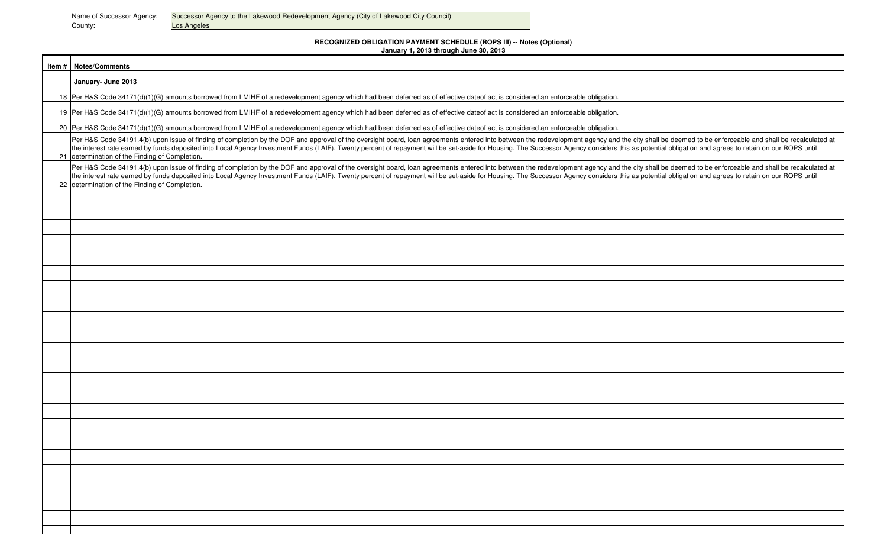Name of Successor Agency: Successor Agency to the Lakewood Redevelopment Agency (City of Lakewood City Council)<br>County: County: Los Angeles

# **RECOGNIZED OBLIGATION PAYMENT SCHEDULE (ROPS III) -- Notes (Optional)**

| January 1, 2013 through June 30, 2013 |  |
|---------------------------------------|--|
|---------------------------------------|--|

| <b>Item #   Notes/Comments</b>                                                                                                                                                                                                                                                                                                                                                                                                                                                                                     |
|--------------------------------------------------------------------------------------------------------------------------------------------------------------------------------------------------------------------------------------------------------------------------------------------------------------------------------------------------------------------------------------------------------------------------------------------------------------------------------------------------------------------|
| January- June 2013                                                                                                                                                                                                                                                                                                                                                                                                                                                                                                 |
| 18 Per H&S Code 34171(d)(1)(G) amounts borrowed from LMIHF of a redevelopment agency which had been deferred as of effective dateof act is considered an enforceable obligation.                                                                                                                                                                                                                                                                                                                                   |
| 19 Per H&S Code 34171(d)(1)(G) amounts borrowed from LMIHF of a redevelopment agency which had been deferred as of effective dateof act is considered an enforceable obligation.                                                                                                                                                                                                                                                                                                                                   |
| 20 Per H&S Code 34171(d)(1)(G) amounts borrowed from LMIHF of a redevelopment agency which had been deferred as of effective dateof act is considered an enforceable obligation.                                                                                                                                                                                                                                                                                                                                   |
| Per H&S Code 34191.4(b) upon issue of finding of completion by the DOF and approval of the oversight board, loan agreements entered into between the redevelopment agency and the city shall be deemed to be enforceable and s<br>the interest rate earned by funds deposited into Local Agency Investment Funds (LAIF). Twenty percent of repayment will be set-aside for Housing. The Successor Agency considers this as potential obligation and agrees to re<br>21 determination of the Finding of Completion. |
| Per H&S Code 34191.4(b) upon issue of finding of completion by the DOF and approval of the oversight board, loan agreements entered into between the redevelopment agency and the city shall be deemed to be enforceable and s<br>the interest rate earned by funds deposited into Local Agency Investment Funds (LAIF). Twenty percent of repayment will be set-aside for Housing. The Successor Agency considers this as potential obligation and agrees to re<br>22 determination of the Finding of Completion. |
|                                                                                                                                                                                                                                                                                                                                                                                                                                                                                                                    |
|                                                                                                                                                                                                                                                                                                                                                                                                                                                                                                                    |
|                                                                                                                                                                                                                                                                                                                                                                                                                                                                                                                    |
|                                                                                                                                                                                                                                                                                                                                                                                                                                                                                                                    |
|                                                                                                                                                                                                                                                                                                                                                                                                                                                                                                                    |
|                                                                                                                                                                                                                                                                                                                                                                                                                                                                                                                    |
|                                                                                                                                                                                                                                                                                                                                                                                                                                                                                                                    |
|                                                                                                                                                                                                                                                                                                                                                                                                                                                                                                                    |
|                                                                                                                                                                                                                                                                                                                                                                                                                                                                                                                    |
|                                                                                                                                                                                                                                                                                                                                                                                                                                                                                                                    |
|                                                                                                                                                                                                                                                                                                                                                                                                                                                                                                                    |
|                                                                                                                                                                                                                                                                                                                                                                                                                                                                                                                    |
|                                                                                                                                                                                                                                                                                                                                                                                                                                                                                                                    |
|                                                                                                                                                                                                                                                                                                                                                                                                                                                                                                                    |
|                                                                                                                                                                                                                                                                                                                                                                                                                                                                                                                    |
|                                                                                                                                                                                                                                                                                                                                                                                                                                                                                                                    |
|                                                                                                                                                                                                                                                                                                                                                                                                                                                                                                                    |
|                                                                                                                                                                                                                                                                                                                                                                                                                                                                                                                    |
|                                                                                                                                                                                                                                                                                                                                                                                                                                                                                                                    |
|                                                                                                                                                                                                                                                                                                                                                                                                                                                                                                                    |
|                                                                                                                                                                                                                                                                                                                                                                                                                                                                                                                    |
|                                                                                                                                                                                                                                                                                                                                                                                                                                                                                                                    |
|                                                                                                                                                                                                                                                                                                                                                                                                                                                                                                                    |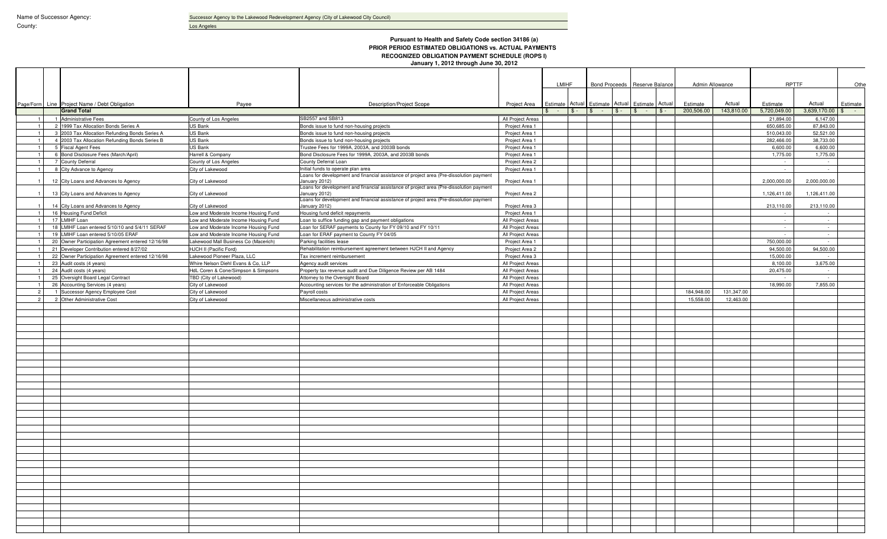Successor Agency to the Lakewood Redevelopment Agency (City of Lakewood City Council)

Los Angeles

County:

### **Pursuant to Health and Safety Code section 34186 (a) PRIOR PERIOD ESTIMATED OBLIGATIONS vs. ACTUAL PAYMENTS RECOGNIZED OBLIGATION PAYMENT SCHEDULE (ROPS I) January 1, 2012 through June 30, 2012**

|                |                                                   |                                      |                                                                                                          |                   | LMIHF |  |                                          |       |  |        |            |            |              |                 | Bond Proceeds Reserve Balance |  | Admin Allowance |  | <b>RPTTF</b> |  | Othe |  |  |  |  |  |  |  |  |  |  |  |  |  |  |  |  |  |  |  |  |  |  |  |  |  |  |  |  |  |  |  |  |  |  |  |  |  |  |  |  |  |  |
|----------------|---------------------------------------------------|--------------------------------------|----------------------------------------------------------------------------------------------------------|-------------------|-------|--|------------------------------------------|-------|--|--------|------------|------------|--------------|-----------------|-------------------------------|--|-----------------|--|--------------|--|------|--|--|--|--|--|--|--|--|--|--|--|--|--|--|--|--|--|--|--|--|--|--|--|--|--|--|--|--|--|--|--|--|--|--|--|--|--|--|--|--|--|--|
|                |                                                   |                                      |                                                                                                          |                   |       |  |                                          |       |  |        |            |            |              |                 |                               |  |                 |  |              |  |      |  |  |  |  |  |  |  |  |  |  |  |  |  |  |  |  |  |  |  |  |  |  |  |  |  |  |  |  |  |  |  |  |  |  |  |  |  |  |  |  |  |  |
|                | Page/Form Line Project Name / Debt Obligation     | Payee                                | Description/Project Scope                                                                                | Project Area      |       |  | Estimate Actual Estimate Actual Estimate |       |  | Actual | Estimate   | Actual     | Estimate     | Actual          | Estimate                      |  |                 |  |              |  |      |  |  |  |  |  |  |  |  |  |  |  |  |  |  |  |  |  |  |  |  |  |  |  |  |  |  |  |  |  |  |  |  |  |  |  |  |  |  |  |  |  |  |
|                | <b>Grand Total</b>                                |                                      |                                                                                                          |                   |       |  | \$                                       | $$ -$ |  | $S -$  | 200,506.00 | 143,810.00 | 5,720,049.00 | 3,639,170.00    | $\mathbb{S}$<br>$\sim 100$    |  |                 |  |              |  |      |  |  |  |  |  |  |  |  |  |  |  |  |  |  |  |  |  |  |  |  |  |  |  |  |  |  |  |  |  |  |  |  |  |  |  |  |  |  |  |  |  |  |
| $\overline{1}$ | 1 Administrative Fees                             | County of Los Angeles                | SB2557 and SB813                                                                                         | All Project Areas |       |  |                                          |       |  |        |            |            | 21,894.00    | 6.147.00        |                               |  |                 |  |              |  |      |  |  |  |  |  |  |  |  |  |  |  |  |  |  |  |  |  |  |  |  |  |  |  |  |  |  |  |  |  |  |  |  |  |  |  |  |  |  |  |  |  |  |
| $\overline{1}$ | 2 1999 Tax Allocation Bonds Series A              | US Bank                              | Bonds issue to fund non-housing projects                                                                 | Project Area 1    |       |  |                                          |       |  |        |            |            | 650,685.00   | 87.843.00       |                               |  |                 |  |              |  |      |  |  |  |  |  |  |  |  |  |  |  |  |  |  |  |  |  |  |  |  |  |  |  |  |  |  |  |  |  |  |  |  |  |  |  |  |  |  |  |  |  |  |
| $\overline{1}$ | 3 2003 Tax Allocation Refunding Bonds Series A    | US Bank                              | Bonds issue to fund non-housing projects                                                                 | Project Area 1    |       |  |                                          |       |  |        |            |            | 510,043.00   | 52.521.00       |                               |  |                 |  |              |  |      |  |  |  |  |  |  |  |  |  |  |  |  |  |  |  |  |  |  |  |  |  |  |  |  |  |  |  |  |  |  |  |  |  |  |  |  |  |  |  |  |  |  |
|                | 4 2003 Tax Allocation Refunding Bonds Series B    | <b>US Bank</b>                       | Bonds issue to fund non-housing projects                                                                 | Project Area 1    |       |  |                                          |       |  |        |            |            | 282,466.00   | 38,733.00       |                               |  |                 |  |              |  |      |  |  |  |  |  |  |  |  |  |  |  |  |  |  |  |  |  |  |  |  |  |  |  |  |  |  |  |  |  |  |  |  |  |  |  |  |  |  |  |  |  |  |
|                | 5 Fiscal Agent Fees                               | <b>US Bank</b>                       | Trustee Fees for 1999A, 2003A, and 2003B bonds                                                           | Project Area 1    |       |  |                                          |       |  |        |            |            | 6,600.00     | 6,600.00        |                               |  |                 |  |              |  |      |  |  |  |  |  |  |  |  |  |  |  |  |  |  |  |  |  |  |  |  |  |  |  |  |  |  |  |  |  |  |  |  |  |  |  |  |  |  |  |  |  |  |
|                | 6 Bond Disclosure Fees (March/April)              | Harrell & Company                    | Bond Disclosure Fees for 1999A, 2003A, and 2003B bonds                                                   | Project Area 1    |       |  |                                          |       |  |        |            |            | 1,775.00     | 1,775.00        |                               |  |                 |  |              |  |      |  |  |  |  |  |  |  |  |  |  |  |  |  |  |  |  |  |  |  |  |  |  |  |  |  |  |  |  |  |  |  |  |  |  |  |  |  |  |  |  |  |  |
|                | 7 County Deferral                                 | County of Los Angeles                | County Deferral Loan                                                                                     | Project Area 2    |       |  |                                          |       |  |        |            |            |              | $\sim$          |                               |  |                 |  |              |  |      |  |  |  |  |  |  |  |  |  |  |  |  |  |  |  |  |  |  |  |  |  |  |  |  |  |  |  |  |  |  |  |  |  |  |  |  |  |  |  |  |  |  |
| $\overline{1}$ | 8 City Advance to Agency                          | City of Lakewood                     | Initial funds to operate plan area                                                                       | Project Area 1    |       |  |                                          |       |  |        |            |            |              | $\sim$          |                               |  |                 |  |              |  |      |  |  |  |  |  |  |  |  |  |  |  |  |  |  |  |  |  |  |  |  |  |  |  |  |  |  |  |  |  |  |  |  |  |  |  |  |  |  |  |  |  |  |
|                | 12 City Loans and Advances to Agency              | City of Lakewood                     | Loans for development and financial assistance of project area (Pre-dissolution payment<br>January 2012) | Project Area 1    |       |  |                                          |       |  |        |            |            | 2,000,000.00 | 2,000,000.00    |                               |  |                 |  |              |  |      |  |  |  |  |  |  |  |  |  |  |  |  |  |  |  |  |  |  |  |  |  |  |  |  |  |  |  |  |  |  |  |  |  |  |  |  |  |  |  |  |  |  |
|                | 13 City Loans and Advances to Agency              | City of Lakewood                     | Loans for development and financial assistance of project area (Pre-dissolution payment<br>January 2012) | Project Area 2    |       |  |                                          |       |  |        |            |            | 1,126,411.00 | 1,126,411.00    |                               |  |                 |  |              |  |      |  |  |  |  |  |  |  |  |  |  |  |  |  |  |  |  |  |  |  |  |  |  |  |  |  |  |  |  |  |  |  |  |  |  |  |  |  |  |  |  |  |  |
|                | 14 City Loans and Advances to Agency              | City of Lakewood                     | Loans for development and financial assistance of project area (Pre-dissolution payment<br>January 2012) | Project Area 3    |       |  |                                          |       |  |        |            |            | 213,110.00   | 213,110.00      |                               |  |                 |  |              |  |      |  |  |  |  |  |  |  |  |  |  |  |  |  |  |  |  |  |  |  |  |  |  |  |  |  |  |  |  |  |  |  |  |  |  |  |  |  |  |  |  |  |  |
|                | 16 Housing Fund Deficit                           | Low and Moderate Income Housing Fund | Housing fund deficit repayments                                                                          | Project Area 1    |       |  |                                          |       |  |        |            |            | $\sim$       |                 |                               |  |                 |  |              |  |      |  |  |  |  |  |  |  |  |  |  |  |  |  |  |  |  |  |  |  |  |  |  |  |  |  |  |  |  |  |  |  |  |  |  |  |  |  |  |  |  |  |  |
|                | 17 LMIHF Loan                                     | Low and Moderate Income Housing Fund | Loan to suffice funding gap and payment obligations                                                      | All Project Areas |       |  |                                          |       |  |        |            |            | $\sim$       | $\sim$          |                               |  |                 |  |              |  |      |  |  |  |  |  |  |  |  |  |  |  |  |  |  |  |  |  |  |  |  |  |  |  |  |  |  |  |  |  |  |  |  |  |  |  |  |  |  |  |  |  |  |
|                | 18 LMIHF Loan entered 5/10/10 and 5/4/11 SERAF    | Low and Moderate Income Housing Fund | Loan for SERAF payments to County for FY 09/10 and FY 10/11                                              | All Project Areas |       |  |                                          |       |  |        |            |            |              | $\sim$          |                               |  |                 |  |              |  |      |  |  |  |  |  |  |  |  |  |  |  |  |  |  |  |  |  |  |  |  |  |  |  |  |  |  |  |  |  |  |  |  |  |  |  |  |  |  |  |  |  |  |
| $\overline{1}$ | 19 LMIHF Loan entered 5/10/05 ERAF                | Low and Moderate Income Housing Fund | Loan for ERAF payment to County FY 04/05                                                                 | All Project Areas |       |  |                                          |       |  |        |            |            | $\sim$       | $\sim 10^{-1}$  |                               |  |                 |  |              |  |      |  |  |  |  |  |  |  |  |  |  |  |  |  |  |  |  |  |  |  |  |  |  |  |  |  |  |  |  |  |  |  |  |  |  |  |  |  |  |  |  |  |  |
|                | 20 Owner Participation Agreement entered 12/16/98 | Lakewood Mall Business Co (Macerich) | Parking facilities lease                                                                                 | Project Area 1    |       |  |                                          |       |  |        |            |            | 750,000.00   |                 |                               |  |                 |  |              |  |      |  |  |  |  |  |  |  |  |  |  |  |  |  |  |  |  |  |  |  |  |  |  |  |  |  |  |  |  |  |  |  |  |  |  |  |  |  |  |  |  |  |  |
|                | 21 Developer Contribution entered 8/27/02         | HJCH II (Pacific Ford)               | Rehabilitation reimbursement agreement between HJCH II and Agency                                        | Project Area 2    |       |  |                                          |       |  |        |            |            | 94.500.00    | 94.500.00       |                               |  |                 |  |              |  |      |  |  |  |  |  |  |  |  |  |  |  |  |  |  |  |  |  |  |  |  |  |  |  |  |  |  |  |  |  |  |  |  |  |  |  |  |  |  |  |  |  |  |
| $\overline{1}$ | 22 Owner Participation Agreement entered 12/16/98 | Lakewood Pioneer Plaza, LLC          | Tax increment reimbursement                                                                              | Project Area 3    |       |  |                                          |       |  |        |            |            | 15,000.00    |                 |                               |  |                 |  |              |  |      |  |  |  |  |  |  |  |  |  |  |  |  |  |  |  |  |  |  |  |  |  |  |  |  |  |  |  |  |  |  |  |  |  |  |  |  |  |  |  |  |  |  |
| $\overline{1}$ | 23 Audit costs (4 years)                          | Whire Nelson Diehl Evans & Co. LLP   | Agency audit services                                                                                    | All Project Areas |       |  |                                          |       |  |        |            |            | 8,100.00     | 3,675.00        |                               |  |                 |  |              |  |      |  |  |  |  |  |  |  |  |  |  |  |  |  |  |  |  |  |  |  |  |  |  |  |  |  |  |  |  |  |  |  |  |  |  |  |  |  |  |  |  |  |  |
| $\overline{1}$ | 24 Audit costs (4 years)                          | HdL Coren & Cone/Simpson & Simpsons  | Property tax revenue audit and Due Diligence Review per AB 1484                                          | All Project Areas |       |  |                                          |       |  |        |            |            | 20,475.00    | $\sim$ 10 $\mu$ |                               |  |                 |  |              |  |      |  |  |  |  |  |  |  |  |  |  |  |  |  |  |  |  |  |  |  |  |  |  |  |  |  |  |  |  |  |  |  |  |  |  |  |  |  |  |  |  |  |  |
|                | 25 Oversight Board Legal Contract                 | TBD (City of Lakewood)               | Attorney to the Oversight Board                                                                          | All Project Areas |       |  |                                          |       |  |        |            |            |              |                 |                               |  |                 |  |              |  |      |  |  |  |  |  |  |  |  |  |  |  |  |  |  |  |  |  |  |  |  |  |  |  |  |  |  |  |  |  |  |  |  |  |  |  |  |  |  |  |  |  |  |
|                | 26 Accounting Services (4 years)                  | City of Lakewood                     | Accounting services for the administration of Enforceable Obligations                                    | All Project Areas |       |  |                                          |       |  |        |            |            | 18,990.00    | 7.855.00        |                               |  |                 |  |              |  |      |  |  |  |  |  |  |  |  |  |  |  |  |  |  |  |  |  |  |  |  |  |  |  |  |  |  |  |  |  |  |  |  |  |  |  |  |  |  |  |  |  |  |
| $\overline{2}$ | 1 Successor Agency Employee Cost                  | City of Lakewood                     | Payroll costs                                                                                            | All Project Areas |       |  |                                          |       |  |        | 184,948.00 | 131,347.00 |              |                 |                               |  |                 |  |              |  |      |  |  |  |  |  |  |  |  |  |  |  |  |  |  |  |  |  |  |  |  |  |  |  |  |  |  |  |  |  |  |  |  |  |  |  |  |  |  |  |  |  |  |
| $\overline{2}$ | 2 Other Administrative Cost                       | City of Lakewood                     | Miscellaneous administrative costs                                                                       | All Project Areas |       |  |                                          |       |  |        | 15,558.00  | 12,463.00  |              |                 |                               |  |                 |  |              |  |      |  |  |  |  |  |  |  |  |  |  |  |  |  |  |  |  |  |  |  |  |  |  |  |  |  |  |  |  |  |  |  |  |  |  |  |  |  |  |  |  |  |  |
|                |                                                   |                                      |                                                                                                          |                   |       |  |                                          |       |  |        |            |            |              |                 |                               |  |                 |  |              |  |      |  |  |  |  |  |  |  |  |  |  |  |  |  |  |  |  |  |  |  |  |  |  |  |  |  |  |  |  |  |  |  |  |  |  |  |  |  |  |  |  |  |  |
|                |                                                   |                                      |                                                                                                          |                   |       |  |                                          |       |  |        |            |            |              |                 |                               |  |                 |  |              |  |      |  |  |  |  |  |  |  |  |  |  |  |  |  |  |  |  |  |  |  |  |  |  |  |  |  |  |  |  |  |  |  |  |  |  |  |  |  |  |  |  |  |  |
|                |                                                   |                                      |                                                                                                          |                   |       |  |                                          |       |  |        |            |            |              |                 |                               |  |                 |  |              |  |      |  |  |  |  |  |  |  |  |  |  |  |  |  |  |  |  |  |  |  |  |  |  |  |  |  |  |  |  |  |  |  |  |  |  |  |  |  |  |  |  |  |  |
|                |                                                   |                                      |                                                                                                          |                   |       |  |                                          |       |  |        |            |            |              |                 |                               |  |                 |  |              |  |      |  |  |  |  |  |  |  |  |  |  |  |  |  |  |  |  |  |  |  |  |  |  |  |  |  |  |  |  |  |  |  |  |  |  |  |  |  |  |  |  |  |  |
|                |                                                   |                                      |                                                                                                          |                   |       |  |                                          |       |  |        |            |            |              |                 |                               |  |                 |  |              |  |      |  |  |  |  |  |  |  |  |  |  |  |  |  |  |  |  |  |  |  |  |  |  |  |  |  |  |  |  |  |  |  |  |  |  |  |  |  |  |  |  |  |  |
|                |                                                   |                                      |                                                                                                          |                   |       |  |                                          |       |  |        |            |            |              |                 |                               |  |                 |  |              |  |      |  |  |  |  |  |  |  |  |  |  |  |  |  |  |  |  |  |  |  |  |  |  |  |  |  |  |  |  |  |  |  |  |  |  |  |  |  |  |  |  |  |  |
|                |                                                   |                                      |                                                                                                          |                   |       |  |                                          |       |  |        |            |            |              |                 |                               |  |                 |  |              |  |      |  |  |  |  |  |  |  |  |  |  |  |  |  |  |  |  |  |  |  |  |  |  |  |  |  |  |  |  |  |  |  |  |  |  |  |  |  |  |  |  |  |  |
|                |                                                   |                                      |                                                                                                          |                   |       |  |                                          |       |  |        |            |            |              |                 |                               |  |                 |  |              |  |      |  |  |  |  |  |  |  |  |  |  |  |  |  |  |  |  |  |  |  |  |  |  |  |  |  |  |  |  |  |  |  |  |  |  |  |  |  |  |  |  |  |  |
|                |                                                   |                                      |                                                                                                          |                   |       |  |                                          |       |  |        |            |            |              |                 |                               |  |                 |  |              |  |      |  |  |  |  |  |  |  |  |  |  |  |  |  |  |  |  |  |  |  |  |  |  |  |  |  |  |  |  |  |  |  |  |  |  |  |  |  |  |  |  |  |  |
|                |                                                   |                                      |                                                                                                          |                   |       |  |                                          |       |  |        |            |            |              |                 |                               |  |                 |  |              |  |      |  |  |  |  |  |  |  |  |  |  |  |  |  |  |  |  |  |  |  |  |  |  |  |  |  |  |  |  |  |  |  |  |  |  |  |  |  |  |  |  |  |  |
|                |                                                   |                                      |                                                                                                          |                   |       |  |                                          |       |  |        |            |            |              |                 |                               |  |                 |  |              |  |      |  |  |  |  |  |  |  |  |  |  |  |  |  |  |  |  |  |  |  |  |  |  |  |  |  |  |  |  |  |  |  |  |  |  |  |  |  |  |  |  |  |  |
|                |                                                   |                                      |                                                                                                          |                   |       |  |                                          |       |  |        |            |            |              |                 |                               |  |                 |  |              |  |      |  |  |  |  |  |  |  |  |  |  |  |  |  |  |  |  |  |  |  |  |  |  |  |  |  |  |  |  |  |  |  |  |  |  |  |  |  |  |  |  |  |  |
|                |                                                   |                                      |                                                                                                          |                   |       |  |                                          |       |  |        |            |            |              |                 |                               |  |                 |  |              |  |      |  |  |  |  |  |  |  |  |  |  |  |  |  |  |  |  |  |  |  |  |  |  |  |  |  |  |  |  |  |  |  |  |  |  |  |  |  |  |  |  |  |  |
|                |                                                   |                                      |                                                                                                          |                   |       |  |                                          |       |  |        |            |            |              |                 |                               |  |                 |  |              |  |      |  |  |  |  |  |  |  |  |  |  |  |  |  |  |  |  |  |  |  |  |  |  |  |  |  |  |  |  |  |  |  |  |  |  |  |  |  |  |  |  |  |  |
|                |                                                   |                                      |                                                                                                          |                   |       |  |                                          |       |  |        |            |            |              |                 |                               |  |                 |  |              |  |      |  |  |  |  |  |  |  |  |  |  |  |  |  |  |  |  |  |  |  |  |  |  |  |  |  |  |  |  |  |  |  |  |  |  |  |  |  |  |  |  |  |  |
|                |                                                   |                                      |                                                                                                          |                   |       |  |                                          |       |  |        |            |            |              |                 |                               |  |                 |  |              |  |      |  |  |  |  |  |  |  |  |  |  |  |  |  |  |  |  |  |  |  |  |  |  |  |  |  |  |  |  |  |  |  |  |  |  |  |  |  |  |  |  |  |  |
|                |                                                   |                                      |                                                                                                          |                   |       |  |                                          |       |  |        |            |            |              |                 |                               |  |                 |  |              |  |      |  |  |  |  |  |  |  |  |  |  |  |  |  |  |  |  |  |  |  |  |  |  |  |  |  |  |  |  |  |  |  |  |  |  |  |  |  |  |  |  |  |  |
|                |                                                   |                                      |                                                                                                          |                   |       |  |                                          |       |  |        |            |            |              |                 |                               |  |                 |  |              |  |      |  |  |  |  |  |  |  |  |  |  |  |  |  |  |  |  |  |  |  |  |  |  |  |  |  |  |  |  |  |  |  |  |  |  |  |  |  |  |  |  |  |  |
|                |                                                   |                                      |                                                                                                          |                   |       |  |                                          |       |  |        |            |            |              |                 |                               |  |                 |  |              |  |      |  |  |  |  |  |  |  |  |  |  |  |  |  |  |  |  |  |  |  |  |  |  |  |  |  |  |  |  |  |  |  |  |  |  |  |  |  |  |  |  |  |  |
|                |                                                   |                                      |                                                                                                          |                   |       |  |                                          |       |  |        |            |            |              |                 |                               |  |                 |  |              |  |      |  |  |  |  |  |  |  |  |  |  |  |  |  |  |  |  |  |  |  |  |  |  |  |  |  |  |  |  |  |  |  |  |  |  |  |  |  |  |  |  |  |  |
|                |                                                   |                                      |                                                                                                          |                   |       |  |                                          |       |  |        |            |            |              |                 |                               |  |                 |  |              |  |      |  |  |  |  |  |  |  |  |  |  |  |  |  |  |  |  |  |  |  |  |  |  |  |  |  |  |  |  |  |  |  |  |  |  |  |  |  |  |  |  |  |  |
|                |                                                   |                                      |                                                                                                          |                   |       |  |                                          |       |  |        |            |            |              |                 |                               |  |                 |  |              |  |      |  |  |  |  |  |  |  |  |  |  |  |  |  |  |  |  |  |  |  |  |  |  |  |  |  |  |  |  |  |  |  |  |  |  |  |  |  |  |  |  |  |  |
|                |                                                   |                                      |                                                                                                          |                   |       |  |                                          |       |  |        |            |            |              |                 |                               |  |                 |  |              |  |      |  |  |  |  |  |  |  |  |  |  |  |  |  |  |  |  |  |  |  |  |  |  |  |  |  |  |  |  |  |  |  |  |  |  |  |  |  |  |  |  |  |  |
|                |                                                   |                                      |                                                                                                          |                   |       |  |                                          |       |  |        |            |            |              |                 |                               |  |                 |  |              |  |      |  |  |  |  |  |  |  |  |  |  |  |  |  |  |  |  |  |  |  |  |  |  |  |  |  |  |  |  |  |  |  |  |  |  |  |  |  |  |  |  |  |  |
|                |                                                   |                                      |                                                                                                          |                   |       |  |                                          |       |  |        |            |            |              |                 |                               |  |                 |  |              |  |      |  |  |  |  |  |  |  |  |  |  |  |  |  |  |  |  |  |  |  |  |  |  |  |  |  |  |  |  |  |  |  |  |  |  |  |  |  |  |  |  |  |  |
|                |                                                   |                                      |                                                                                                          |                   |       |  |                                          |       |  |        |            |            |              |                 |                               |  |                 |  |              |  |      |  |  |  |  |  |  |  |  |  |  |  |  |  |  |  |  |  |  |  |  |  |  |  |  |  |  |  |  |  |  |  |  |  |  |  |  |  |  |  |  |  |  |
|                |                                                   |                                      |                                                                                                          |                   |       |  |                                          |       |  |        |            |            |              |                 |                               |  |                 |  |              |  |      |  |  |  |  |  |  |  |  |  |  |  |  |  |  |  |  |  |  |  |  |  |  |  |  |  |  |  |  |  |  |  |  |  |  |  |  |  |  |  |  |  |  |
|                |                                                   |                                      |                                                                                                          |                   |       |  |                                          |       |  |        |            |            |              |                 |                               |  |                 |  |              |  |      |  |  |  |  |  |  |  |  |  |  |  |  |  |  |  |  |  |  |  |  |  |  |  |  |  |  |  |  |  |  |  |  |  |  |  |  |  |  |  |  |  |  |
|                |                                                   |                                      |                                                                                                          |                   |       |  |                                          |       |  |        |            |            |              |                 |                               |  |                 |  |              |  |      |  |  |  |  |  |  |  |  |  |  |  |  |  |  |  |  |  |  |  |  |  |  |  |  |  |  |  |  |  |  |  |  |  |  |  |  |  |  |  |  |  |  |
|                |                                                   |                                      |                                                                                                          |                   |       |  |                                          |       |  |        |            |            |              |                 |                               |  |                 |  |              |  |      |  |  |  |  |  |  |  |  |  |  |  |  |  |  |  |  |  |  |  |  |  |  |  |  |  |  |  |  |  |  |  |  |  |  |  |  |  |  |  |  |  |  |
|                |                                                   |                                      |                                                                                                          |                   |       |  |                                          |       |  |        |            |            |              |                 |                               |  |                 |  |              |  |      |  |  |  |  |  |  |  |  |  |  |  |  |  |  |  |  |  |  |  |  |  |  |  |  |  |  |  |  |  |  |  |  |  |  |  |  |  |  |  |  |  |  |